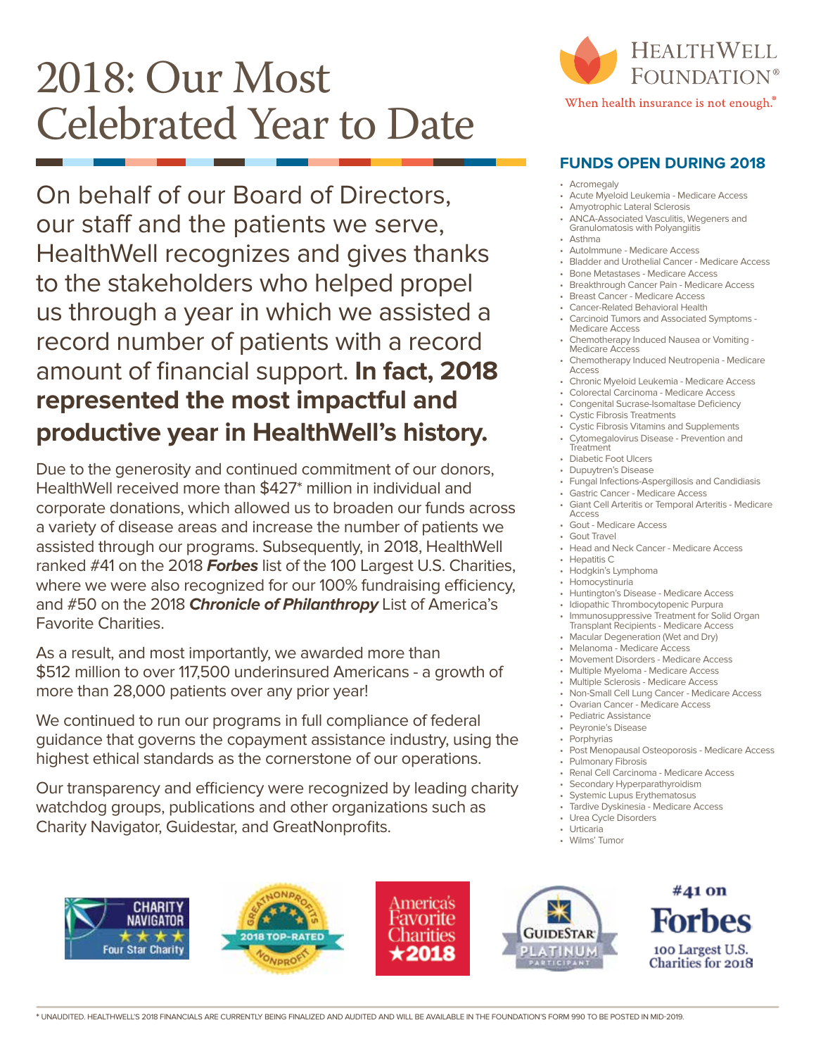## 2018: Our Most Celebrated Year to Date

On behalf of our Board of Directors, our staff and the patients we serve, HealthWell recognizes and gives thanks to the stakeholders who helped propel us through a year in which we assisted a record number of patients with a record amount of financial support. **In fact, 2018 represented the most impactful and productive year in HealthWell's history.**

Due to the generosity and continued commitment of our donors, HealthWell received more than \$427\* million in individual and corporate donations, which allowed us to broaden our funds across a variety of disease areas and increase the number of patients we assisted through our programs. Subsequently, in 2018, HealthWell ranked #41 on the 2018 **Forbes** list of the 100 Largest U.S. Charities, where we were also recognized for our 100% fundraising efficiency, and #50 on the 2018 **Chronicle of Philanthropy** List of America's Favorite Charities.

As a result, and most importantly, we awarded more than \$512 million to over 117,500 underinsured Americans - a growth of more than 28,000 patients over any prior year!

We continued to run our programs in full compliance of federal guidance that governs the copayment assistance industry, using the highest ethical standards as the cornerstone of our operations.

Our transparency and efficiency were recognized by leading charity watchdog groups, publications and other organizations such as Charity Navigator, Guidestar, and GreatNonprofits.



## **FUNDS OPEN DURING 2018**

- **Acromegaly**
- Acute Myeloid Leukemia Medicare Access
- Amyotrophic Lateral Sclerosis
- ANCA-Associated Vasculitis, Wegeners and Granulomatosis with Polyangiitis
- Asthma
- AutoImmune Medicare Access
- Bladder and Urothelial Cancer Medicare Access
- Bone Metastases Medicare Access
- Breakthrough Cancer Pain Medicare Access • Breast Cancer - Medicare Access
- Cancer-Related Behavioral Health
	-
	- Carcinoid Tumors and Associated Symptoms Medicare Access
	- Chemotherapy Induced Nausea or Vomiting Medicare Access
- Chemotherapy Induced Neutropenia Medicare Access
- Chronic Myeloid Leukemia Medicare Access
- Colorectal Carcinoma Medicare Access
- Congenital Sucrase-Isomaltase Deficiency
- Cystic Fibrosis Treatments
- Cystic Fibrosis Vitamins and Supplements • Cytomegalovirus Disease - Prevention and
- **Treatment**
- Diabetic Foot Ulcers
- Dupuytren's Disease
- Fungal Infections-Aspergillosis and Candidiasis
- Gastric Cancer Medicare Access
- Giant Cell Arteritis or Temporal Arteritis Medicare Access
- Gout Medicare Access • Gout Travel
- Head and Neck Cancer Medicare Access
- Hepatitis C
- Hodgkin's Lymphoma
- Homocystinuria
- Huntington's Disease Medicare Access
- Idiopathic Thrombocytopenic Purpura
- Immunosuppressive Treatment for Solid Organ Transplant Recipients - Medicare Access
- Macular Degeneration (Wet and Dry)
- Melanoma Medicare Access
- Movement Disorders Medicare Access
- Multiple Myeloma Medicare Access
- Multiple Sclerosis Medicare Access
- Non-Small Cell Lung Cancer Medicare Access
- Ovarian Cancer Medicare Access
- Pediatric Assistance
- Peyronie's Disease
- **Porphyrias**
- Post Menopausal Osteoporosis Medicare Access
- Pulmonary Fibrosis
- Renal Cell Carcinoma Medicare Access
- Secondary Hyperparathyroidism
- Systemic Lupus Erythematosus
- Tardive Dyskinesia Medicare Access
- Urea Cycle Disorders
- Urticaria
- Wilms' Tumor









#41 on 100 Largest U.S. **Charities for 2018**